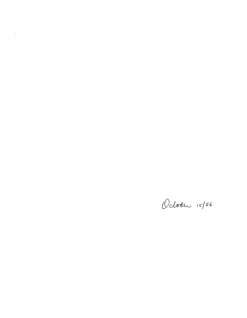$\label{eq:2.1} \frac{1}{\sqrt{2}}\int_{\mathbb{R}^3}\frac{1}{\sqrt{2}}\left(\frac{1}{\sqrt{2}}\right)^2\frac{1}{\sqrt{2}}\left(\frac{1}{\sqrt{2}}\right)^2\frac{1}{\sqrt{2}}\left(\frac{1}{\sqrt{2}}\right)^2\frac{1}{\sqrt{2}}\left(\frac{1}{\sqrt{2}}\right)^2.$  $\mathcal{L}^{\text{max}}_{\text{max}}$  and  $\mathcal{L}^{\text{max}}_{\text{max}}$ 

 $\label{eq:2.1} \frac{1}{\sqrt{2}}\int_{\mathbb{R}^3}\frac{1}{\sqrt{2}}\left(\frac{1}{\sqrt{2}}\right)^2\frac{1}{\sqrt{2}}\left(\frac{1}{\sqrt{2}}\right)^2\frac{1}{\sqrt{2}}\left(\frac{1}{\sqrt{2}}\right)^2\frac{1}{\sqrt{2}}\left(\frac{1}{\sqrt{2}}\right)^2.$ 

 $\mathcal{L}_{\mathcal{A}}$ 

 $\mathcal{A}^{\mathcal{A}}_{\mathcal{A}}$  and  $\mathcal{A}^{\mathcal{A}}_{\mathcal{A}}$  are the set of the set of  $\mathcal{A}^{\mathcal{A}}_{\mathcal{A}}$ 

 $\mathcal{L}^{\text{max}}_{\text{max}}$ 

 $\label{eq:2.1} \frac{1}{\sqrt{2}}\int_{\mathbb{R}^3}\frac{1}{\sqrt{2}}\left(\frac{1}{\sqrt{2}}\right)^2\frac{1}{\sqrt{2}}\left(\frac{1}{\sqrt{2}}\right)^2\frac{1}{\sqrt{2}}\left(\frac{1}{\sqrt{2}}\right)^2\frac{1}{\sqrt{2}}\left(\frac{1}{\sqrt{2}}\right)^2.$ 

 $\label{eq:2.1} \frac{1}{2} \sum_{i=1}^n \frac{1}{2} \sum_{j=1}^n \frac{1}{2} \sum_{j=1}^n \frac{1}{2} \sum_{j=1}^n \frac{1}{2} \sum_{j=1}^n \frac{1}{2} \sum_{j=1}^n \frac{1}{2} \sum_{j=1}^n \frac{1}{2} \sum_{j=1}^n \frac{1}{2} \sum_{j=1}^n \frac{1}{2} \sum_{j=1}^n \frac{1}{2} \sum_{j=1}^n \frac{1}{2} \sum_{j=1}^n \frac{1}{2} \sum_{j=1}^n \frac{$ 

 $\label{eq:2.1} \frac{1}{\sqrt{2}}\int_{\mathbb{R}^3}\frac{1}{\sqrt{2}}\left(\frac{1}{\sqrt{2}}\right)^2\frac{1}{\sqrt{2}}\left(\frac{1}{\sqrt{2}}\right)^2\frac{1}{\sqrt{2}}\left(\frac{1}{\sqrt{2}}\right)^2\frac{1}{\sqrt{2}}\left(\frac{1}{\sqrt{2}}\right)^2.$  $\mathcal{L}^{\text{max}}_{\text{max}}$  and  $\mathcal{L}^{\text{max}}_{\text{max}}$ 

October 15/86

 $\label{eq:2.1} \frac{1}{\sqrt{2}}\int_{\mathbb{R}^3}\frac{1}{\sqrt{2}}\left(\frac{1}{\sqrt{2}}\right)^2\frac{1}{\sqrt{2}}\left(\frac{1}{\sqrt{2}}\right)^2\frac{1}{\sqrt{2}}\left(\frac{1}{\sqrt{2}}\right)^2.$ 

 $\mathcal{L}(\mathcal{L}^{\mathcal{L}})$  and  $\mathcal{L}(\mathcal{L}^{\mathcal{L}})$  and  $\mathcal{L}(\mathcal{L}^{\mathcal{L}})$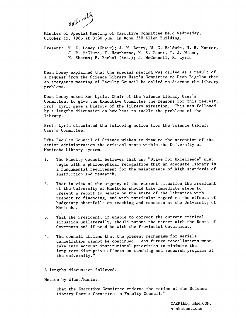

Minutes of Special Meeting of Executive Committee held Wednesday, October 15, 1986 at 3:30 p.m. in Room 250 Allen Building.

Present: N. E. Losey (Chair); J. W. Berry, W. G. Baldwin, N. R. Hunter, P. McClure, F. Hawthorne, K. S. Mount, T. J. Wiens, K. Sharma; P. Pachol (Sec.); J. McConnell, R. Lyric

Dean Losey explained that the special meeting was called as a result of a request from the Science Library User's Committee to Dean Bigelow that an emergency meeting of Faculty Council be called to discuss the library problems.

Dean Losey asked Ron Lyric, Chair of the Science Library User's Committee, to give the Executive Committee the reasons for this request. Prof. Lyric gave a history of the library situation. This was followed by a lengthy discussion on how best to tackle the problems of the library.

Prof. Lyric circulated the following motion from the Science Library User's Committee.

"The Faculty Council of Science wishes to draw to the attention of the senior administration the critical state within the University of Manitoba Library system.

- $1.$ The Faculty Council believes that any "Drive for Excellence" must begin with a philosophical recognition that an adequate library is a fundamental requirement for the maintenance of high standards of instruction and research.
- $2.$ That in view of the urgency of the current situation the President of the University of Manitoba should take immediate steps to present a report to Senate on the state of the libraries with respect to financing, and with particular regard to the effects of budgetary shortfalls on teaching and research at the University of Manitoba.
- $3.$ That the President, if unable to correct the current critical situation unilaterally, should pursue the matter with the Board of Governors and if need be with the Provincial Government.
- The council affirms that the present mechanism for serials 4. cancellation cannot be continued. Any future cancellations must take into account institutional priorities to minimize the long-term disruptive effects on teaching and research programs at the university."

A lengthy discussion followed.

Motion by Wiens/Hunter:

That the Executive Committee endorse the motion of the Science Library User's Committee to Faculty Council."